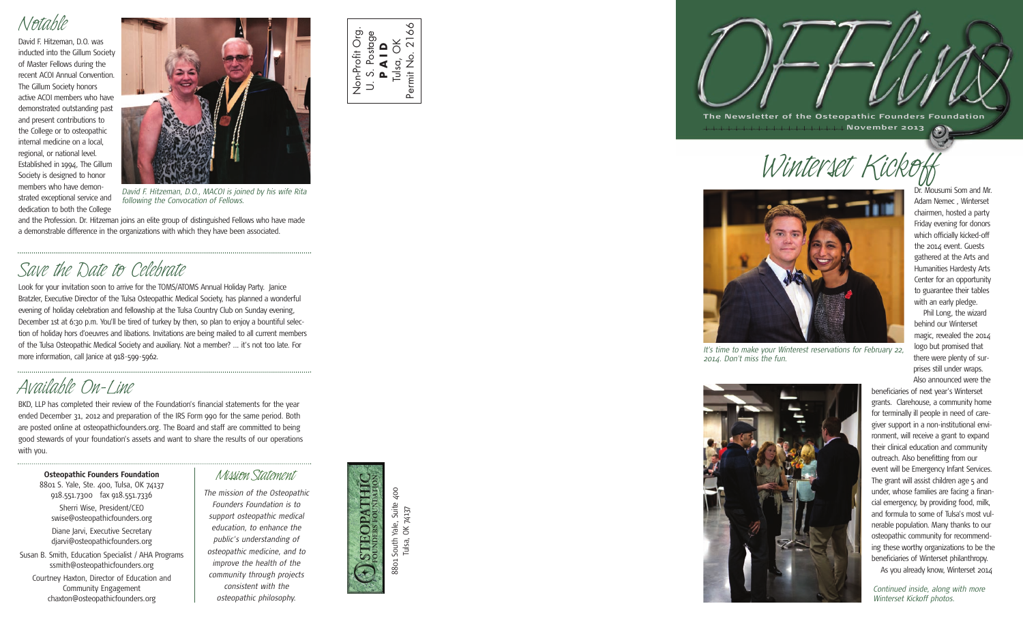#### *Notable*

David F. Hitzeman, D.O. was inducted into the Gillum Society of Master Fellows during the recent ACOI Annual Convention. The Gillum Society honors active ACOI members who have demonstrated outstanding past and present contributions to the College or to osteopathic internal medicine on a local, regional, or national level. Established in 1994, The Gillum Society is designed to honor members who have demonstrated exceptional service and

dedication to both the College



*David F. Hitzeman, D.O., MACOI is joined by his wife Rita following the Convocation of Fellows.*

and the Profession. Dr. Hitzeman joins an elite group of distinguished Fellows who have made a demonstrable difference in the organizations with which they have been associated.

# *Save the Date to Celebrate*

Look for your invitation soon to arrive for the TOMS/ATOMS Annual Holiday Party. Janice Bratzler, Executive Director of the Tulsa Osteopathic Medical Society, has planned a wonderful evening of holiday celebration and fellowship at the Tulsa Country Club on Sunday evening, December 1st at 6:30 p.m. You'll be tired of turkey by then, so plan to enjoy a bountiful selection of holiday hors d'oeuvres and libations. Invitations are being mailed to all current members of the Tulsa Osteopathic Medical Society and auxiliary. Not a member? ... it's not too late. For more information, call Janice at 918-599-5962.

## *Available On-Line*

BKD, LLP has completed their review of the Foundation's financial statements for the year ended December 31, 2012 and preparation of the IRS Form 990 for the same period. Both are posted online at osteopathicfounders.org. The Board and staff are committed to being good stewards of your foundation's assets and want to share the results of our operations with you.

**Osteopathic Founders Foundation** *Mission Statement* 

8801 S. Yale, Ste. 400, Tulsa, OK 74137 918.551.7300 fax 918.551.7336 Sherri Wise, President/CEO swise@osteopathicfounders.org Diane Jarvi, Executive Secretary djarvi@osteopathicfounders.org Susan B. Smith, Education Specialist / AHA Programs ssmith@osteopathicfounders.org Courtney Haxton, Director of Education and Community Engagement

chaxton@osteopathicfounders.org

*The mission of the Osteopathic Founders Foundation is to support osteopathic medical education, to enhance the public's understanding of osteopathic medicine, and to improve the health of the community through projects consistent with the osteopathic philosophy.*



Non-Profit Org. U. S. Postage **P A I D** Tulsa, OK Permit No. 2166

 $\overrightarrow{D}$ 

Non-Profit Org S. Postage

Ó ۰ŏ

 $\overline{2}$ 

Permit No.

i Yale, Suite 400<br>, OK 74137 8801 South Yale, Suite 400 Tulsa, OK 74137 South<sup>'</sup> Tulsa, 8801

**The Newsletter of the Osteopathic Founders Foundation November 2 0 13**  $\odot$ 

*Winterset Kickoff*



*It's time to make your Winterest reservations for February 22, 2014. Don't miss the fun.*



Dr. Mousumi Som and Mr. Adam Nemec , Winterset chairmen, hosted a party Friday evening for donors which officially kicked-off the 2014 event. Guests gathered at the Arts and Humanities Hardesty Arts Center for an opportunity to guarantee their tables with an early pledge. Phil Long, the wizard behind our Winterset magic, revealed the 2014 logo but promised that there were plenty of surprises still under wraps. Also announced were the

beneficiaries of next year's Winterset grants. Clarehouse, a community home for terminally ill people in need of caregiver support in a non-institutional environment, will receive a grant to expand their clinical education and community outreach. Also benefitting from our event will be Emergency Infant Services. The grant will assist children age 5 and under, whose families are facing a financial emergency, by providing food, milk, and formula to some of Tulsa's most vulnerable population. Many thanks to our osteopathic community for recommending these worthy organizations to be the beneficiaries of Winterset philanthropy. As you already know, Winterset 2014

*Continued inside, along with more Winterset Kickoff photos.*